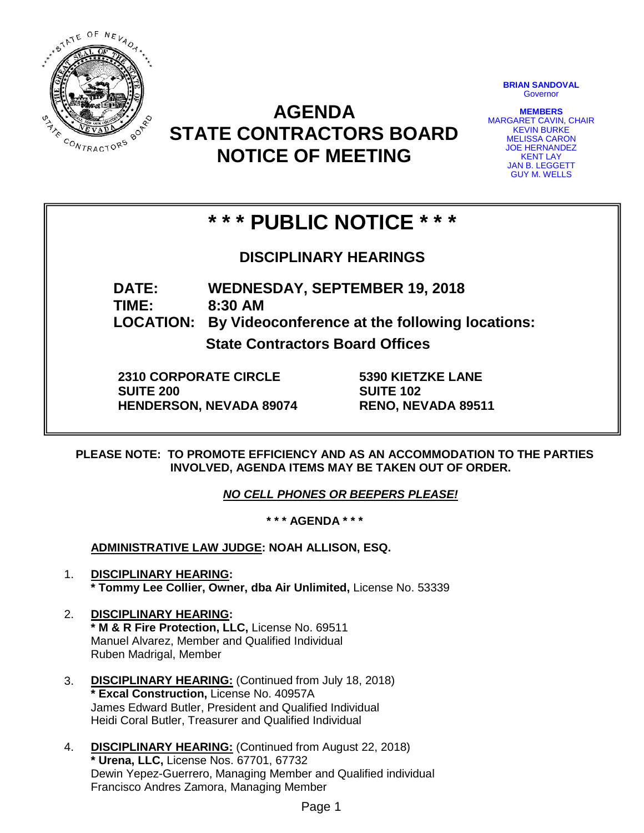

# **AGENDA STATE CONTRACTORS BOARD NOTICE OF MEETING**

**BRIAN SANDOVAL Governor** 

**MEMBERS** MARGARET CAVIN, CHAIR KEVIN BURKE MELISSA CARON JOE HERNANDEZ KENT LAY JAN B. LEGGETT GUY M. WELLS

# **\* \* \* PUBLIC NOTICE \* \* \***

**DISCIPLINARY HEARINGS**

**DATE: WEDNESDAY, SEPTEMBER 19, 2018 TIME: 8:30 AM LOCATION: By Videoconference at the following locations:**

**State Contractors Board Offices**

**2310 CORPORATE CIRCLE SUITE 200 HENDERSON, NEVADA 89074** **5390 KIETZKE LANE SUITE 102 RENO, NEVADA 89511**

**PLEASE NOTE: TO PROMOTE EFFICIENCY AND AS AN ACCOMMODATION TO THE PARTIES INVOLVED, AGENDA ITEMS MAY BE TAKEN OUT OF ORDER.**

*NO CELL PHONES OR BEEPERS PLEASE!* 

**\* \* \* AGENDA \* \* \***

**ADMINISTRATIVE LAW JUDGE: NOAH ALLISON, ESQ.** 

- 1. **DISCIPLINARY HEARING: \* Tommy Lee Collier, Owner, dba Air Unlimited,** License No. 53339
- 2. **DISCIPLINARY HEARING: \* M & R Fire Protection, LLC,** License No. 69511 Manuel Alvarez, Member and Qualified Individual Ruben Madrigal, Member
- 3. **DISCIPLINARY HEARING:** (Continued from July 18, 2018) **\* Excal Construction,** License No. 40957A James Edward Butler, President and Qualified Individual Heidi Coral Butler, Treasurer and Qualified Individual
- 4. **DISCIPLINARY HEARING:** (Continued from August 22, 2018) **\* Urena, LLC,** License Nos. 67701, 67732 Dewin Yepez-Guerrero, Managing Member and Qualified individual Francisco Andres Zamora, Managing Member